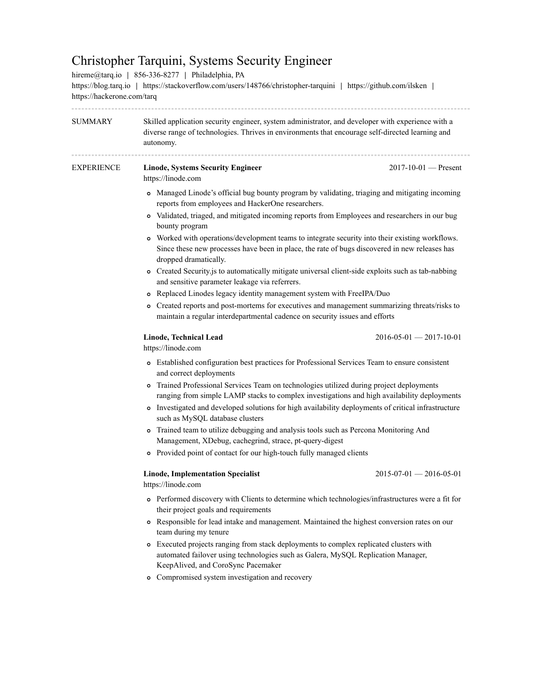## Christopher Tarquini, Systems Security Engineer

| hireme@tarq.io   856-336-8277   Philadelphia, PA<br>https://blog.tarq.io   https://stackoverflow.com/users/148766/christopher-tarquini   https://github.com/ilsken  <br>https://hackerone.com/tarq |                                                                                                                                                                                                                                                                                                         |                                   |  |  |
|----------------------------------------------------------------------------------------------------------------------------------------------------------------------------------------------------|---------------------------------------------------------------------------------------------------------------------------------------------------------------------------------------------------------------------------------------------------------------------------------------------------------|-----------------------------------|--|--|
| SUMMARY                                                                                                                                                                                            | Skilled application security engineer, system administrator, and developer with experience with a<br>diverse range of technologies. Thrives in environments that encourage self-directed learning and<br>autonomy.                                                                                      |                                   |  |  |
| <b>EXPERIENCE</b>                                                                                                                                                                                  | <b>Linode, Systems Security Engineer</b><br>https://linode.com                                                                                                                                                                                                                                          | $2017 - 10 - 01$ - Present        |  |  |
|                                                                                                                                                                                                    | • Managed Linode's official bug bounty program by validating, triaging and mitigating incoming<br>reports from employees and HackerOne researchers.                                                                                                                                                     |                                   |  |  |
|                                                                                                                                                                                                    | Validated, triaged, and mitigated incoming reports from Employees and researchers in our bug<br>$\circ$<br>bounty program                                                                                                                                                                               |                                   |  |  |
|                                                                                                                                                                                                    | • Worked with operations/development teams to integrate security into their existing workflows.<br>Since these new processes have been in place, the rate of bugs discovered in new releases has<br>dropped dramatically.                                                                               |                                   |  |  |
|                                                                                                                                                                                                    | o Created Security is to automatically mitigate universal client-side exploits such as tab-nabbing<br>and sensitive parameter leakage via referrers.                                                                                                                                                    |                                   |  |  |
|                                                                                                                                                                                                    | Replaced Linodes legacy identity management system with FreeIPA/Duo<br>$\circ$                                                                                                                                                                                                                          |                                   |  |  |
|                                                                                                                                                                                                    | Created reports and post-mortems for executives and management summarizing threats/risks to<br>۰<br>maintain a regular interdepartmental cadence on security issues and efforts                                                                                                                         |                                   |  |  |
|                                                                                                                                                                                                    | Linode, Technical Lead<br>https://linode.com                                                                                                                                                                                                                                                            | $2016 - 05 - 01 - 2017 - 10 - 01$ |  |  |
|                                                                                                                                                                                                    | • Established configuration best practices for Professional Services Team to ensure consistent<br>and correct deployments                                                                                                                                                                               |                                   |  |  |
|                                                                                                                                                                                                    | Trained Professional Services Team on technologies utilized during project deployments<br>$\circ$<br>ranging from simple LAMP stacks to complex investigations and high availability deployments<br>• Investigated and developed solutions for high availability deployments of critical infrastructure |                                   |  |  |
|                                                                                                                                                                                                    | such as MySQL database clusters<br>o Trained team to utilize debugging and analysis tools such as Percona Monitoring And<br>Management, XDebug, cachegrind, strace, pt-query-digest                                                                                                                     |                                   |  |  |
|                                                                                                                                                                                                    | • Provided point of contact for our high-touch fully managed clients                                                                                                                                                                                                                                    |                                   |  |  |
|                                                                                                                                                                                                    | <b>Linode, Implementation Specialist</b><br>https://linode.com                                                                                                                                                                                                                                          | $2015 - 07 - 01 - 2016 - 05 - 01$ |  |  |
|                                                                                                                                                                                                    | • Performed discovery with Clients to determine which technologies/infrastructures were a fit for<br>their project goals and requirements                                                                                                                                                               |                                   |  |  |
|                                                                                                                                                                                                    | • Responsible for lead intake and management. Maintained the highest conversion rates on our<br>team during my tenure                                                                                                                                                                                   |                                   |  |  |
|                                                                                                                                                                                                    | • Executed projects ranging from stack deployments to complex replicated clusters with<br>automated failover using technologies such as Galera, MySQL Replication Manager,<br>KeepAlived, and CoroSync Pacemaker                                                                                        |                                   |  |  |
|                                                                                                                                                                                                    | Compromised system investigation and recovery<br>$\circ$                                                                                                                                                                                                                                                |                                   |  |  |